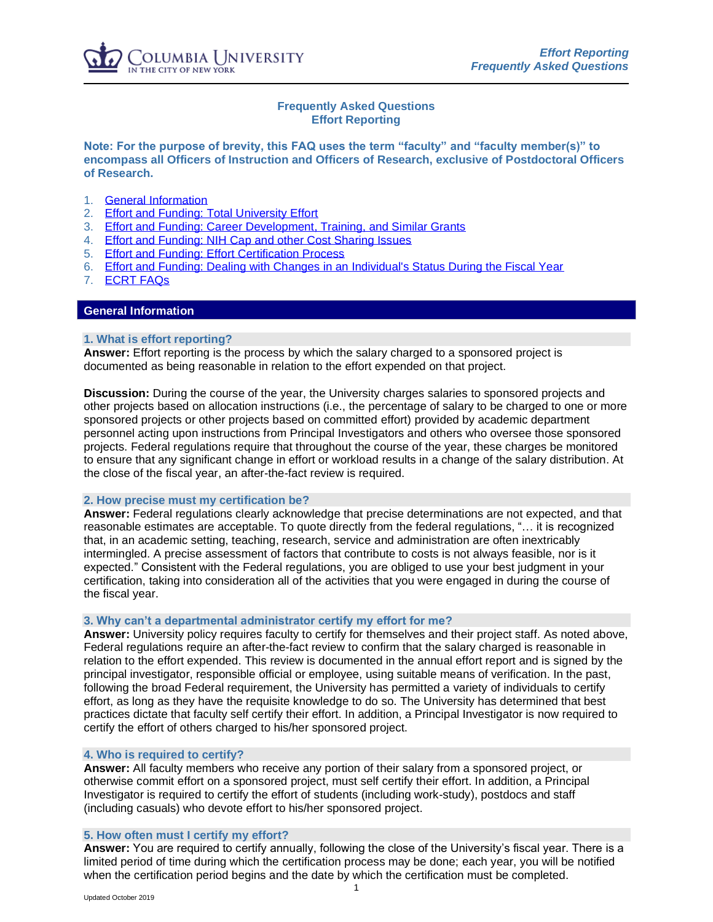# **Frequently Asked Questions Effort Reporting**

**Note: For the purpose of brevity, this FAQ uses the term "faculty" and "faculty member(s)" to encompass all Officers of Instruction and Officers of Research, exclusive of Postdoctoral Officers of Research.** 

- 1. [General Information](#page-0-0)
- 2. [Effort and Funding: Total University Effort](#page-2-0)
- 3. [Effort and Funding: Career Development, Training, and Similar Grants](#page-4-0)
- 4. [Effort and Funding: NIH Cap and other Cost Sharing Issues](#page-5-0)
- 5. [Effort and Funding: Effort Certification Process](#page-6-0)
- 6. [Effort and Funding: Dealing with Changes in an Individual's Status During the Fiscal Year](#page-8-0)
- 7. [ECRT FAQs](#page-9-0)

## <span id="page-0-0"></span>**General Information**

## **1. What is effort reporting?**

**Answer:** Effort reporting is the process by which the salary charged to a sponsored project is documented as being reasonable in relation to the effort expended on that project.

**Discussion:** During the course of the year, the University charges salaries to sponsored projects and other projects based on allocation instructions (i.e., the percentage of salary to be charged to one or more sponsored projects or other projects based on committed effort) provided by academic department personnel acting upon instructions from Principal Investigators and others who oversee those sponsored projects. Federal regulations require that throughout the course of the year, these charges be monitored to ensure that any significant change in effort or workload results in a change of the salary distribution. At the close of the fiscal year, an after-the-fact review is required.

## **2. How precise must my certification be?**

**Answer:** Federal regulations clearly acknowledge that precise determinations are not expected, and that reasonable estimates are acceptable. To quote directly from the federal regulations, "… it is recognized that, in an academic setting, teaching, research, service and administration are often inextricably intermingled. A precise assessment of factors that contribute to costs is not always feasible, nor is it expected." Consistent with the Federal regulations, you are obliged to use your best judgment in your certification, taking into consideration all of the activities that you were engaged in during the course of the fiscal year.

#### **3. Why can't a departmental administrator certify my effort for me?**

**Answer:** University policy requires faculty to certify for themselves and their project staff. As noted above, Federal regulations require an after-the-fact review to confirm that the salary charged is reasonable in relation to the effort expended. This review is documented in the annual effort report and is signed by the principal investigator, responsible official or employee, using suitable means of verification. In the past, following the broad Federal requirement, the University has permitted a variety of individuals to certify effort, as long as they have the requisite knowledge to do so. The University has determined that best practices dictate that faculty self certify their effort. In addition, a Principal Investigator is now required to certify the effort of others charged to his/her sponsored project.

## **4. Who is required to certify?**

**Answer:** All faculty members who receive any portion of their salary from a sponsored project, or otherwise commit effort on a sponsored project, must self certify their effort. In addition, a Principal Investigator is required to certify the effort of students (including work-study), postdocs and staff (including casuals) who devote effort to his/her sponsored project.

#### **5. How often must I certify my effort?**

**Answer:** You are required to certify annually, following the close of the University's fiscal year. There is a limited period of time during which the certification process may be done; each year, you will be notified when the certification period begins and the date by which the certification must be completed.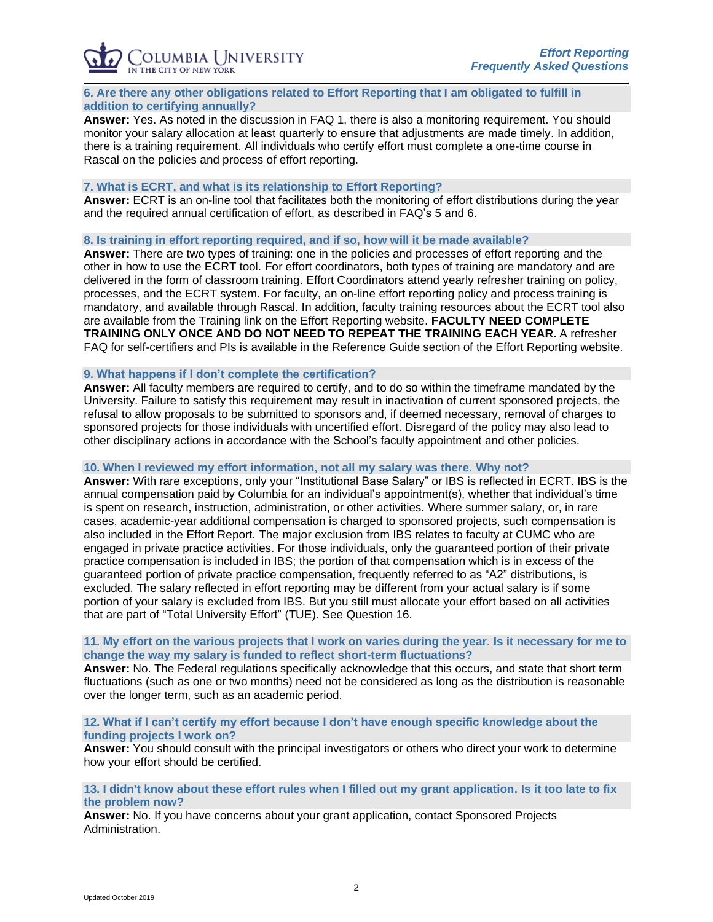

## **6. Are there any other obligations related to Effort Reporting that I am obligated to fulfill in addition to certifying annually?**

**Answer:** Yes. As noted in the discussion in FAQ 1, there is also a monitoring requirement. You should monitor your salary allocation at least quarterly to ensure that adjustments are made timely. In addition, there is a training requirement. All individuals who certify effort must complete a one-time course in Rascal on the policies and process of effort reporting.

## **7. What is ECRT, and what is its relationship to Effort Reporting?**

**Answer:** ECRT is an on-line tool that facilitates both the monitoring of effort distributions during the year and the required annual certification of effort, as described in FAQ's 5 and 6.

**8. Is training in effort reporting required, and if so, how will it be made available?**

**Answer:** There are two types of training: one in the policies and processes of effort reporting and the other in how to use the ECRT tool. For effort coordinators, both types of training are mandatory and are delivered in the form of classroom training. Effort Coordinators attend yearly refresher training on policy, processes, and the ECRT system. For faculty, an on-line effort reporting policy and process training is mandatory, and available through Rascal. In addition, faculty training resources about the ECRT tool also are available from the Training link on the Effort Reporting website. **FACULTY NEED COMPLETE TRAINING ONLY ONCE AND DO NOT NEED TO REPEAT THE TRAINING EACH YEAR.** A refresher FAQ for self-certifiers and PIs is available in the Reference Guide section of the Effort Reporting website.

## **9. What happens if I don't complete the certification?**

**Answer:** All faculty members are required to certify, and to do so within the timeframe mandated by the University. Failure to satisfy this requirement may result in inactivation of current sponsored projects, the refusal to allow proposals to be submitted to sponsors and, if deemed necessary, removal of charges to sponsored projects for those individuals with uncertified effort. Disregard of the policy may also lead to other disciplinary actions in accordance with the School's faculty appointment and other policies.

## **10. When I reviewed my effort information, not all my salary was there. Why not?**

**Answer:** With rare exceptions, only your "Institutional Base Salary" or IBS is reflected in ECRT. IBS is the annual compensation paid by Columbia for an individual's appointment(s), whether that individual's time is spent on research, instruction, administration, or other activities. Where summer salary, or, in rare cases, academic-year additional compensation is charged to sponsored projects, such compensation is also included in the Effort Report. The major exclusion from IBS relates to faculty at CUMC who are engaged in private practice activities. For those individuals, only the guaranteed portion of their private practice compensation is included in IBS; the portion of that compensation which is in excess of the guaranteed portion of private practice compensation, frequently referred to as "A2" distributions, is excluded. The salary reflected in effort reporting may be different from your actual salary is if some portion of your salary is excluded from IBS. But you still must allocate your effort based on all activities that are part of "Total University Effort" (TUE). See Question 16.

## **11. My effort on the various projects that I work on varies during the year. Is it necessary for me to change the way my salary is funded to reflect short-term fluctuations?**

**Answer:** No. The Federal regulations specifically acknowledge that this occurs, and state that short term fluctuations (such as one or two months) need not be considered as long as the distribution is reasonable over the longer term, such as an academic period.

## **12. What if I can't certify my effort because I don't have enough specific knowledge about the funding projects I work on?**

**Answer:** You should consult with the principal investigators or others who direct your work to determine how your effort should be certified.

## **13. I didn't know about these effort rules when I filled out my grant application. Is it too late to fix the problem now?**

**Answer:** No. If you have concerns about your grant application, contact Sponsored Projects Administration.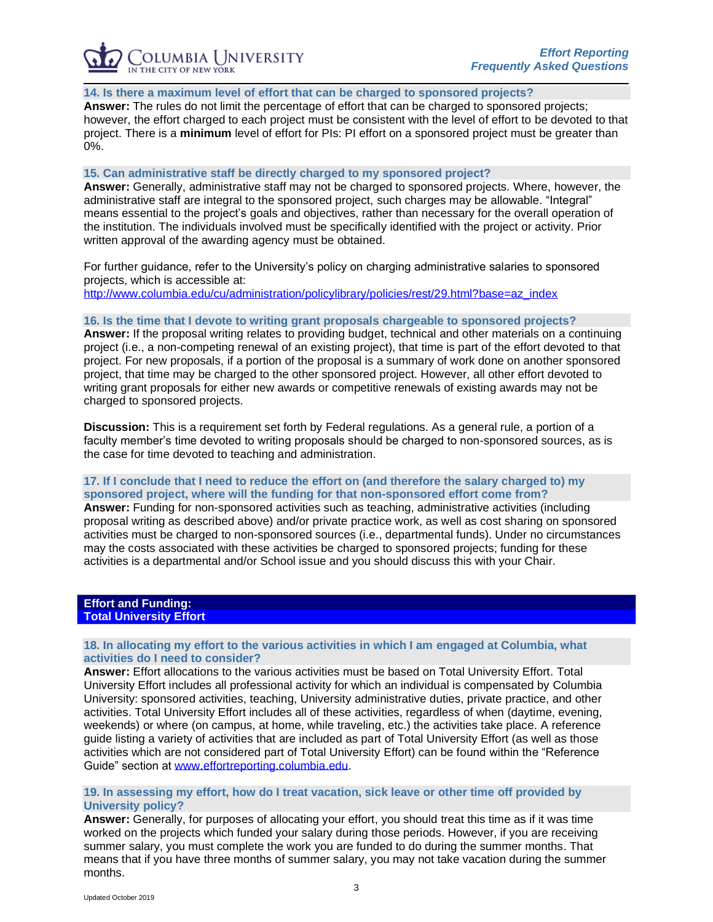OLUMBIA UNIVERSITY THE CITY OF NEW YORK

#### **14. Is there a maximum level of effort that can be charged to sponsored projects?**

**Answer:** The rules do not limit the percentage of effort that can be charged to sponsored projects; however, the effort charged to each project must be consistent with the level of effort to be devoted to that project. There is a **minimum** level of effort for PIs: PI effort on a sponsored project must be greater than 0%.

## **15. Can administrative staff be directly charged to my sponsored project?**

**Answer:** Generally, administrative staff may not be charged to sponsored projects. Where, however, the administrative staff are integral to the sponsored project, such charges may be allowable. "Integral" means essential to the project's goals and objectives, rather than necessary for the overall operation of the institution. The individuals involved must be specifically identified with the project or activity. Prior written approval of the awarding agency must be obtained.

For further guidance, refer to the University's policy on charging administrative salaries to sponsored projects, which is accessible at:

[http://www.columbia.edu/cu/administration/policylibrary/policies/rest/29.html?base=az\\_index](http://www.columbia.edu/cu/administration/policylibrary/policies/rest/29.html?base=az_index)

#### **16. Is the time that I devote to writing grant proposals chargeable to sponsored projects?**

**Answer:** If the proposal writing relates to providing budget, technical and other materials on a continuing project (i.e., a non-competing renewal of an existing project), that time is part of the effort devoted to that project. For new proposals, if a portion of the proposal is a summary of work done on another sponsored project, that time may be charged to the other sponsored project. However, all other effort devoted to writing grant proposals for either new awards or competitive renewals of existing awards may not be charged to sponsored projects.

**Discussion:** This is a requirement set forth by Federal regulations. As a general rule, a portion of a faculty member's time devoted to writing proposals should be charged to non-sponsored sources, as is the case for time devoted to teaching and administration.

## **17. If I conclude that I need to reduce the effort on (and therefore the salary charged to) my sponsored project, where will the funding for that non-sponsored effort come from?**

**Answer:** Funding for non-sponsored activities such as teaching, administrative activities (including proposal writing as described above) and/or private practice work, as well as cost sharing on sponsored activities must be charged to non-sponsored sources (i.e., departmental funds). Under no circumstances may the costs associated with these activities be charged to sponsored projects; funding for these activities is a departmental and/or School issue and you should discuss this with your Chair.

#### <span id="page-2-0"></span>**Effort and Funding: Total University Effort**

## **18. In allocating my effort to the various activities in which I am engaged at Columbia, what activities do I need to consider?**

**Answer:** Effort allocations to the various activities must be based on Total University Effort. Total University Effort includes all professional activity for which an individual is compensated by Columbia University: sponsored activities, teaching, University administrative duties, private practice, and other activities. Total University Effort includes all of these activities, regardless of when (daytime, evening, weekends) or where (on campus, at home, while traveling, etc.) the activities take place. A reference guide listing a variety of activities that are included as part of Total University Effort (as well as those activities which are not considered part of Total University Effort) can be found within the "Reference Guide" section at [www.effortreporting.columbia.edu.](http://www.effortreporting.columbia.edu/)

#### **19. In assessing my effort, how do I treat vacation, sick leave or other time off provided by University policy?**

**Answer:** Generally, for purposes of allocating your effort, you should treat this time as if it was time worked on the projects which funded your salary during those periods. However, if you are receiving summer salary, you must complete the work you are funded to do during the summer months. That means that if you have three months of summer salary, you may not take vacation during the summer months.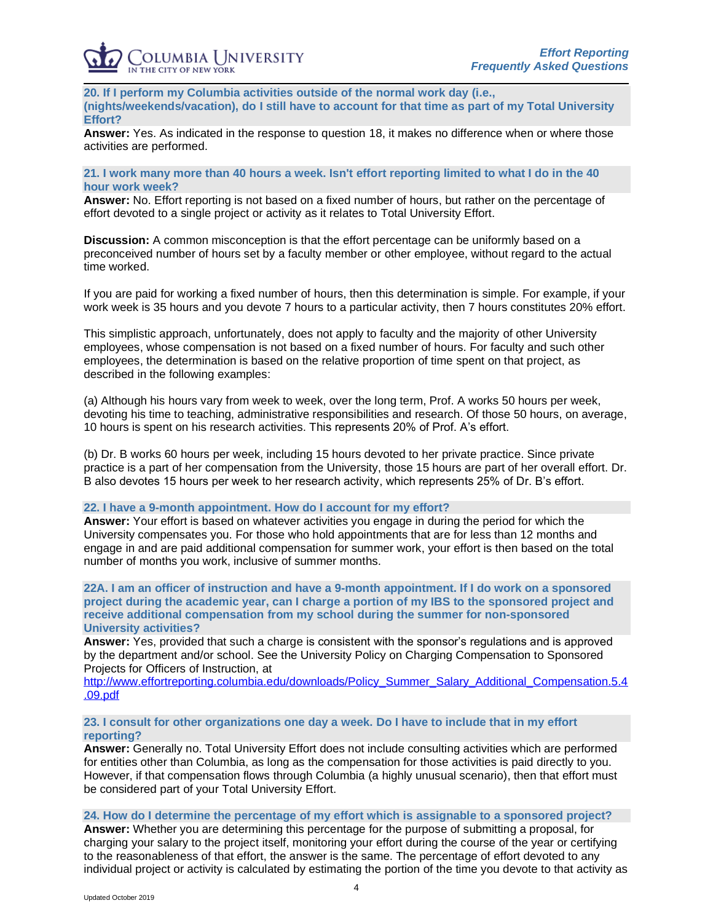**20. If I perform my Columbia activities outside of the normal work day (i.e., (nights/weekends/vacation), do I still have to account for that time as part of my Total University Effort?**

**Answer:** Yes. As indicated in the response to question 18, it makes no difference when or where those activities are performed.

## **21. I work many more than 40 hours a week. Isn't effort reporting limited to what I do in the 40 hour work week?**

**Answer:** No. Effort reporting is not based on a fixed number of hours, but rather on the percentage of effort devoted to a single project or activity as it relates to Total University Effort.

**Discussion:** A common misconception is that the effort percentage can be uniformly based on a preconceived number of hours set by a faculty member or other employee, without regard to the actual time worked.

If you are paid for working a fixed number of hours, then this determination is simple. For example, if your work week is 35 hours and you devote 7 hours to a particular activity, then 7 hours constitutes 20% effort.

This simplistic approach, unfortunately, does not apply to faculty and the majority of other University employees, whose compensation is not based on a fixed number of hours. For faculty and such other employees, the determination is based on the relative proportion of time spent on that project, as described in the following examples:

(a) Although his hours vary from week to week, over the long term, Prof. A works 50 hours per week, devoting his time to teaching, administrative responsibilities and research. Of those 50 hours, on average, 10 hours is spent on his research activities. This represents 20% of Prof. A's effort.

(b) Dr. B works 60 hours per week, including 15 hours devoted to her private practice. Since private practice is a part of her compensation from the University, those 15 hours are part of her overall effort. Dr. B also devotes 15 hours per week to her research activity, which represents 25% of Dr. B's effort.

#### **22. I have a 9-month appointment. How do I account for my effort?**

**Answer:** Your effort is based on whatever activities you engage in during the period for which the University compensates you. For those who hold appointments that are for less than 12 months and engage in and are paid additional compensation for summer work, your effort is then based on the total number of months you work, inclusive of summer months.

**22A. I am an officer of instruction and have a 9-month appointment. If I do work on a sponsored project during the academic year, can I charge a portion of my IBS to the sponsored project and receive additional compensation from my school during the summer for non-sponsored University activities?**

**Answer:** Yes, provided that such a charge is consistent with the sponsor's regulations and is approved by the department and/or school. See the University Policy on Charging Compensation to Sponsored Projects for Officers of Instruction, at

[http://www.effortreporting.columbia.edu/downloads/Policy\\_Summer\\_Salary\\_Additional\\_Compensation.5.4](http://www.effortreporting.columbia.edu/downloads/Policy_Summer_Salary_Additional_Compensation.5.4.09.pdf) [.09.pdf](http://www.effortreporting.columbia.edu/downloads/Policy_Summer_Salary_Additional_Compensation.5.4.09.pdf)

## **23. I consult for other organizations one day a week. Do I have to include that in my effort reporting?**

**Answer:** Generally no. Total University Effort does not include consulting activities which are performed for entities other than Columbia, as long as the compensation for those activities is paid directly to you. However, if that compensation flows through Columbia (a highly unusual scenario), then that effort must be considered part of your Total University Effort.

**24. How do I determine the percentage of my effort which is assignable to a sponsored project?**

**Answer:** Whether you are determining this percentage for the purpose of submitting a proposal, for charging your salary to the project itself, monitoring your effort during the course of the year or certifying to the reasonableness of that effort, the answer is the same. The percentage of effort devoted to any individual project or activity is calculated by estimating the portion of the time you devote to that activity as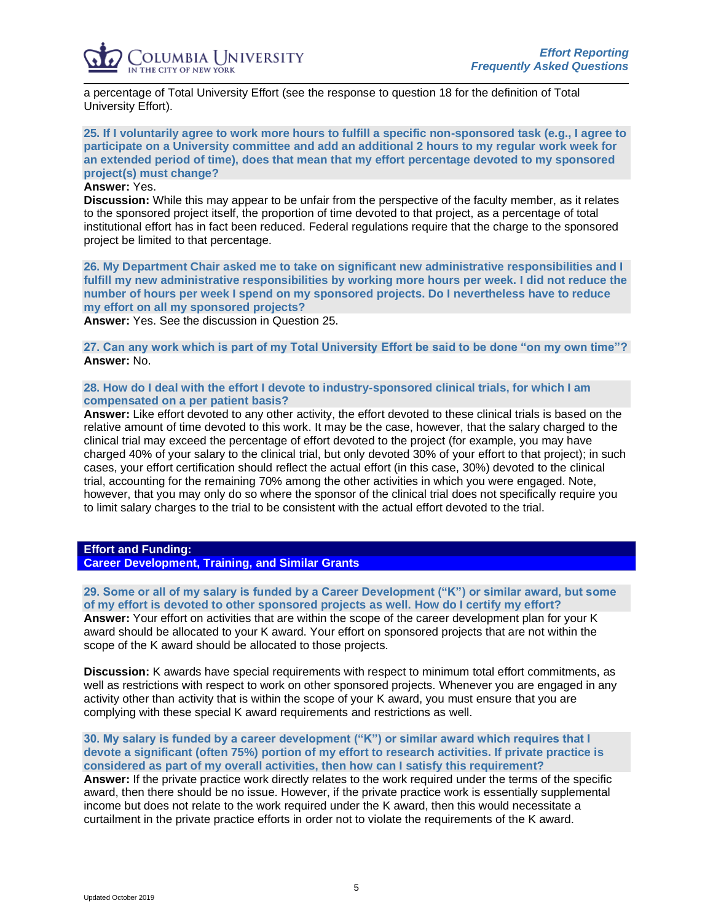

a percentage of Total University Effort (see the response to question 18 for the definition of Total University Effort).

**25. If I voluntarily agree to work more hours to fulfill a specific non-sponsored task (e.g., I agree to participate on a University committee and add an additional 2 hours to my regular work week for an extended period of time), does that mean that my effort percentage devoted to my sponsored project(s) must change?**

# **Answer:** Yes.

**Discussion:** While this may appear to be unfair from the perspective of the faculty member, as it relates to the sponsored project itself, the proportion of time devoted to that project, as a percentage of total institutional effort has in fact been reduced. Federal regulations require that the charge to the sponsored project be limited to that percentage.

**26. My Department Chair asked me to take on significant new administrative responsibilities and I fulfill my new administrative responsibilities by working more hours per week. I did not reduce the number of hours per week I spend on my sponsored projects. Do I nevertheless have to reduce my effort on all my sponsored projects?**

**Answer:** Yes. See the discussion in Question 25.

**27. Can any work which is part of my Total University Effort be said to be done "on my own time"? Answer:** No.

## **28. How do I deal with the effort I devote to industry-sponsored clinical trials, for which I am compensated on a per patient basis?**

**Answer:** Like effort devoted to any other activity, the effort devoted to these clinical trials is based on the relative amount of time devoted to this work. It may be the case, however, that the salary charged to the clinical trial may exceed the percentage of effort devoted to the project (for example, you may have charged 40% of your salary to the clinical trial, but only devoted 30% of your effort to that project); in such cases, your effort certification should reflect the actual effort (in this case, 30%) devoted to the clinical trial, accounting for the remaining 70% among the other activities in which you were engaged. Note, however, that you may only do so where the sponsor of the clinical trial does not specifically require you to limit salary charges to the trial to be consistent with the actual effort devoted to the trial.

# <span id="page-4-0"></span>**Effort and Funding:**

**Career Development, Training, and Similar Grants**

**29. Some or all of my salary is funded by a Career Development ("K") or similar award, but some of my effort is devoted to other sponsored projects as well. How do I certify my effort? Answer:** Your effort on activities that are within the scope of the career development plan for your K award should be allocated to your K award. Your effort on sponsored projects that are not within the scope of the K award should be allocated to those projects.

**Discussion:** K awards have special requirements with respect to minimum total effort commitments, as well as restrictions with respect to work on other sponsored projects. Whenever you are engaged in any activity other than activity that is within the scope of your K award, you must ensure that you are complying with these special K award requirements and restrictions as well.

**30. My salary is funded by a career development ("K") or similar award which requires that I devote a significant (often 75%) portion of my effort to research activities. If private practice is considered as part of my overall activities, then how can I satisfy this requirement? Answer:** If the private practice work directly relates to the work required under the terms of the specific award, then there should be no issue. However, if the private practice work is essentially supplemental income but does not relate to the work required under the K award, then this would necessitate a curtailment in the private practice efforts in order not to violate the requirements of the K award.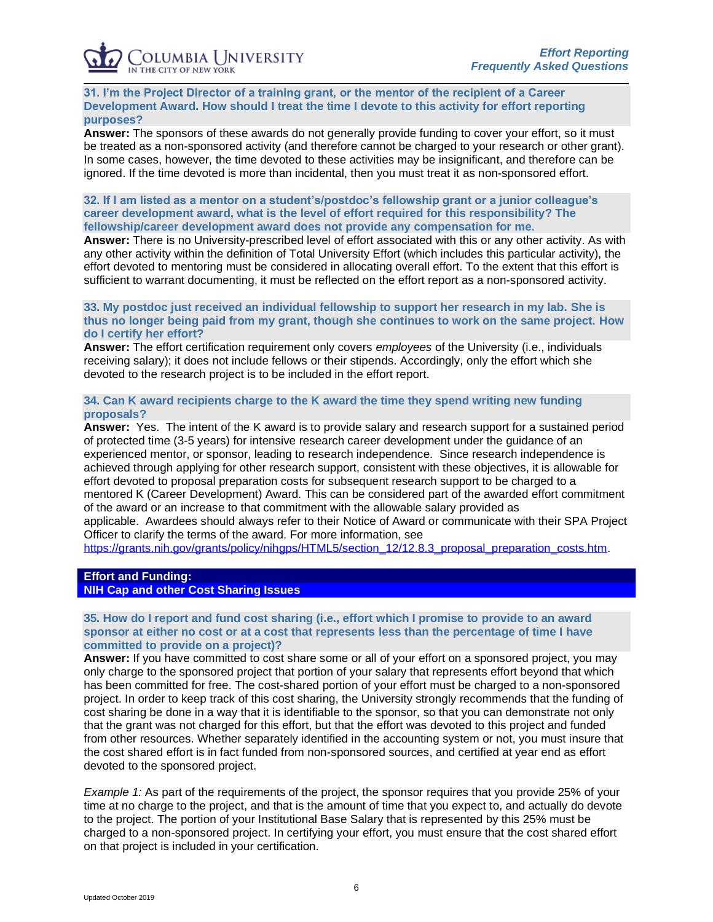## **31. I'm the Project Director of a training grant, or the mentor of the recipient of a Career Development Award. How should I treat the time I devote to this activity for effort reporting purposes?**

**Answer:** The sponsors of these awards do not generally provide funding to cover your effort, so it must be treated as a non-sponsored activity (and therefore cannot be charged to your research or other grant). In some cases, however, the time devoted to these activities may be insignificant, and therefore can be ignored. If the time devoted is more than incidental, then you must treat it as non-sponsored effort.

## **32. If I am listed as a mentor on a student's/postdoc's fellowship grant or a junior colleague's career development award, what is the level of effort required for this responsibility? The fellowship/career development award does not provide any compensation for me.**

**Answer:** There is no University-prescribed level of effort associated with this or any other activity. As with any other activity within the definition of Total University Effort (which includes this particular activity), the effort devoted to mentoring must be considered in allocating overall effort. To the extent that this effort is sufficient to warrant documenting, it must be reflected on the effort report as a non-sponsored activity.

## **33. My postdoc just received an individual fellowship to support her research in my lab. She is thus no longer being paid from my grant, though she continues to work on the same project. How do I certify her effort?**

**Answer:** The effort certification requirement only covers *employees* of the University (i.e., individuals receiving salary); it does not include fellows or their stipends. Accordingly, only the effort which she devoted to the research project is to be included in the effort report.

## **34. Can K award recipients charge to the K award the time they spend writing new funding proposals?**

**Answer:** Yes. The intent of the K award is to provide salary and research support for a sustained period of protected time (3-5 years) for intensive research career development under the guidance of an experienced mentor, or sponsor, leading to research independence. Since research independence is achieved through applying for other research support, consistent with these objectives, it is allowable for effort devoted to proposal preparation costs for subsequent research support to be charged to a mentored K (Career Development) Award. This can be considered part of the awarded effort commitment of the award or an increase to that commitment with the allowable salary provided as applicable. Awardees should always refer to their Notice of Award or communicate with their SPA Project Officer to clarify the terms of the award. For more information, see

[https://grants.nih.gov/grants/policy/nihgps/HTML5/section\\_12/12.8.3\\_proposal\\_preparation\\_costs.htm.](https://grants.nih.gov/grants/policy/nihgps/HTML5/section_12/12.8.3_proposal_preparation_costs.htm)

# <span id="page-5-0"></span>**Effort and Funding:**

**NIH Cap and other Cost Sharing Issues**

## **35. How do I report and fund cost sharing (i.e., effort which I promise to provide to an award sponsor at either no cost or at a cost that represents less than the percentage of time I have committed to provide on a project)?**

**Answer:** If you have committed to cost share some or all of your effort on a sponsored project, you may only charge to the sponsored project that portion of your salary that represents effort beyond that which has been committed for free. The cost-shared portion of your effort must be charged to a non-sponsored project. In order to keep track of this cost sharing, the University strongly recommends that the funding of cost sharing be done in a way that it is identifiable to the sponsor, so that you can demonstrate not only that the grant was not charged for this effort, but that the effort was devoted to this project and funded from other resources. Whether separately identified in the accounting system or not, you must insure that the cost shared effort is in fact funded from non-sponsored sources, and certified at year end as effort devoted to the sponsored project.

*Example 1:* As part of the requirements of the project, the sponsor requires that you provide 25% of your time at no charge to the project, and that is the amount of time that you expect to, and actually do devote to the project. The portion of your Institutional Base Salary that is represented by this 25% must be charged to a non-sponsored project. In certifying your effort, you must ensure that the cost shared effort on that project is included in your certification.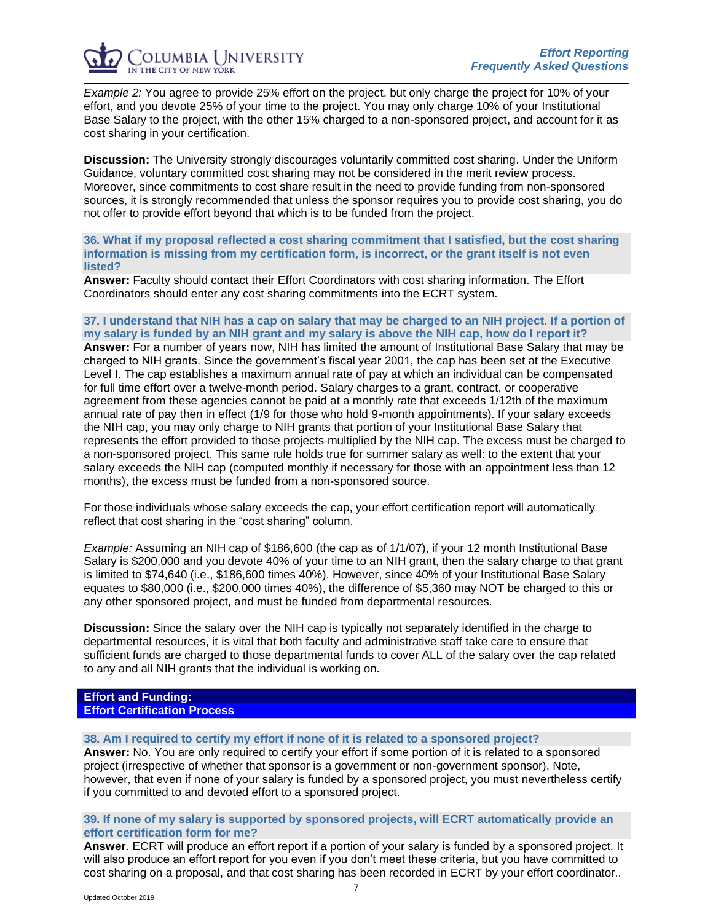*Example 2:* You agree to provide 25% effort on the project, but only charge the project for 10% of your effort, and you devote 25% of your time to the project. You may only charge 10% of your Institutional Base Salary to the project, with the other 15% charged to a non-sponsored project, and account for it as cost sharing in your certification.

**Discussion:** The University strongly discourages voluntarily committed cost sharing. Under the Uniform Guidance, voluntary committed cost sharing may not be considered in the merit review process. Moreover, since commitments to cost share result in the need to provide funding from non-sponsored sources, it is strongly recommended that unless the sponsor requires you to provide cost sharing, you do not offer to provide effort beyond that which is to be funded from the project.

**36. What if my proposal reflected a cost sharing commitment that I satisfied, but the cost sharing information is missing from my certification form, is incorrect, or the grant itself is not even listed?**

**Answer:** Faculty should contact their Effort Coordinators with cost sharing information. The Effort Coordinators should enter any cost sharing commitments into the ECRT system.

## **37. I understand that NIH has a cap on salary that may be charged to an NIH project. If a portion of my salary is funded by an NIH grant and my salary is above the NIH cap, how do I report it?**

**Answer:** For a number of years now, NIH has limited the amount of Institutional Base Salary that may be charged to NIH grants. Since the government's fiscal year 2001, the cap has been set at the Executive Level I. The cap establishes a maximum annual rate of pay at which an individual can be compensated for full time effort over a twelve-month period. Salary charges to a grant, contract, or cooperative agreement from these agencies cannot be paid at a monthly rate that exceeds 1/12th of the maximum annual rate of pay then in effect (1/9 for those who hold 9-month appointments). If your salary exceeds the NIH cap, you may only charge to NIH grants that portion of your Institutional Base Salary that represents the effort provided to those projects multiplied by the NIH cap. The excess must be charged to a non-sponsored project. This same rule holds true for summer salary as well: to the extent that your salary exceeds the NIH cap (computed monthly if necessary for those with an appointment less than 12 months), the excess must be funded from a non-sponsored source.

For those individuals whose salary exceeds the cap, your effort certification report will automatically reflect that cost sharing in the "cost sharing" column.

*Example:* Assuming an NIH cap of \$186,600 (the cap as of 1/1/07), if your 12 month Institutional Base Salary is \$200,000 and you devote 40% of your time to an NIH grant, then the salary charge to that grant is limited to \$74,640 (i.e., \$186,600 times 40%). However, since 40% of your Institutional Base Salary equates to \$80,000 (i.e., \$200,000 times 40%), the difference of \$5,360 may NOT be charged to this or any other sponsored project, and must be funded from departmental resources.

**Discussion:** Since the salary over the NIH cap is typically not separately identified in the charge to departmental resources, it is vital that both faculty and administrative staff take care to ensure that sufficient funds are charged to those departmental funds to cover ALL of the salary over the cap related to any and all NIH grants that the individual is working on.

#### <span id="page-6-0"></span>**Effort and Funding: Effort Certification Process**

#### **38. Am I required to certify my effort if none of it is related to a sponsored project?**

**Answer:** No. You are only required to certify your effort if some portion of it is related to a sponsored project (irrespective of whether that sponsor is a government or non-government sponsor). Note, however, that even if none of your salary is funded by a sponsored project, you must nevertheless certify if you committed to and devoted effort to a sponsored project.

## **39. If none of my salary is supported by sponsored projects, will ECRT automatically provide an effort certification form for me?**

**Answer**. ECRT will produce an effort report if a portion of your salary is funded by a sponsored project. It will also produce an effort report for you even if you don't meet these criteria, but you have committed to cost sharing on a proposal, and that cost sharing has been recorded in ECRT by your effort coordinator..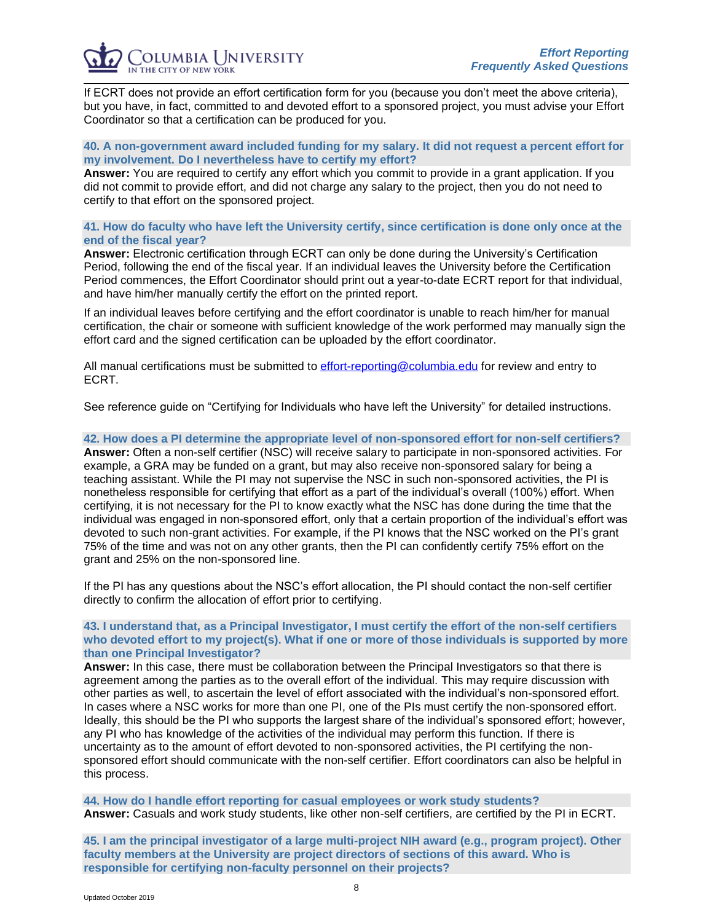If ECRT does not provide an effort certification form for you (because you don't meet the above criteria), but you have, in fact, committed to and devoted effort to a sponsored project, you must advise your Effort Coordinator so that a certification can be produced for you.

## **40. A non-government award included funding for my salary. It did not request a percent effort for my involvement. Do I nevertheless have to certify my effort?**

**Answer:** You are required to certify any effort which you commit to provide in a grant application. If you did not commit to provide effort, and did not charge any salary to the project, then you do not need to certify to that effort on the sponsored project.

## **41. How do faculty who have left the University certify, since certification is done only once at the end of the fiscal year?**

**Answer:** Electronic certification through ECRT can only be done during the University's Certification Period, following the end of the fiscal year. If an individual leaves the University before the Certification Period commences, the Effort Coordinator should print out a year-to-date ECRT report for that individual, and have him/her manually certify the effort on the printed report.

If an individual leaves before certifying and the effort coordinator is unable to reach him/her for manual certification, the chair or someone with sufficient knowledge of the work performed may manually sign the effort card and the signed certification can be uploaded by the effort coordinator.

All manual certifications must be submitted to [effort-reporting@columbia.edu](mailto:effort-reporting@columbia.edu) for review and entry to ECRT.

See reference guide on "Certifying for Individuals who have left the University" for detailed instructions.

## **42. How does a PI determine the appropriate level of non-sponsored effort for non-self certifiers?**

**Answer:** Often a non-self certifier (NSC) will receive salary to participate in non-sponsored activities. For example, a GRA may be funded on a grant, but may also receive non-sponsored salary for being a teaching assistant. While the PI may not supervise the NSC in such non-sponsored activities, the PI is nonetheless responsible for certifying that effort as a part of the individual's overall (100%) effort. When certifying, it is not necessary for the PI to know exactly what the NSC has done during the time that the individual was engaged in non-sponsored effort, only that a certain proportion of the individual's effort was devoted to such non-grant activities. For example, if the PI knows that the NSC worked on the PI's grant 75% of the time and was not on any other grants, then the PI can confidently certify 75% effort on the grant and 25% on the non-sponsored line.

If the PI has any questions about the NSC's effort allocation, the PI should contact the non-self certifier directly to confirm the allocation of effort prior to certifying.

## **43. I understand that, as a Principal Investigator, I must certify the effort of the non-self certifiers who devoted effort to my project(s). What if one or more of those individuals is supported by more than one Principal Investigator?**

**Answer:** In this case, there must be collaboration between the Principal Investigators so that there is agreement among the parties as to the overall effort of the individual. This may require discussion with other parties as well, to ascertain the level of effort associated with the individual's non-sponsored effort. In cases where a NSC works for more than one PI, one of the PIs must certify the non-sponsored effort. Ideally, this should be the PI who supports the largest share of the individual's sponsored effort; however, any PI who has knowledge of the activities of the individual may perform this function. If there is uncertainty as to the amount of effort devoted to non-sponsored activities, the PI certifying the nonsponsored effort should communicate with the non-self certifier. Effort coordinators can also be helpful in this process.

**44. How do I handle effort reporting for casual employees or work study students? Answer:** Casuals and work study students, like other non-self certifiers, are certified by the PI in ECRT.

**45. I am the principal investigator of a large multi-project NIH award (e.g., program project). Other faculty members at the University are project directors of sections of this award. Who is responsible for certifying non-faculty personnel on their projects?**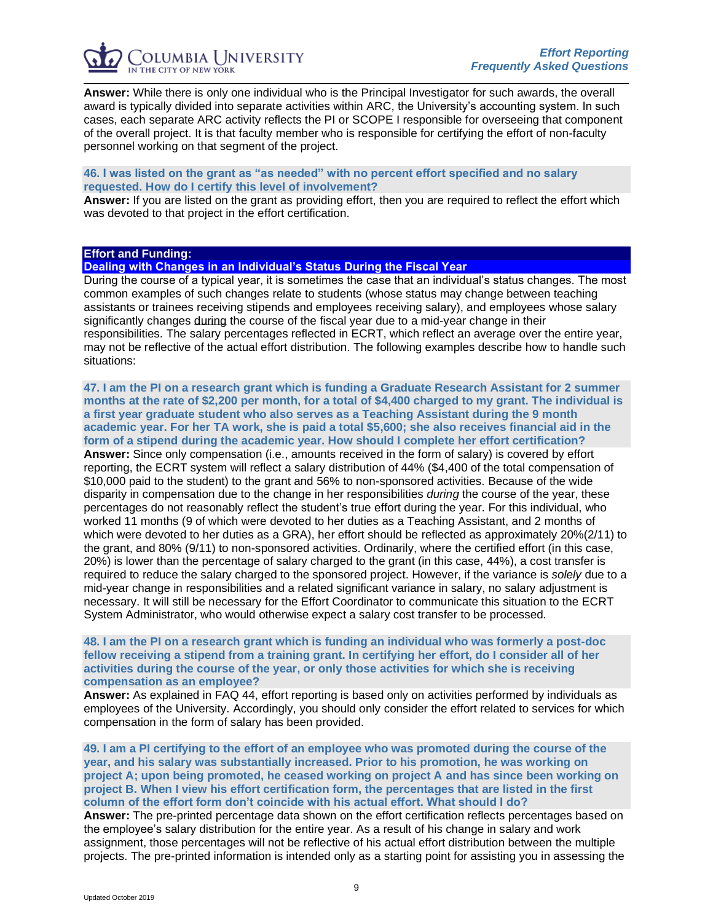

**Answer:** While there is only one individual who is the Principal Investigator for such awards, the overall award is typically divided into separate activities within ARC, the University's accounting system. In such cases, each separate ARC activity reflects the PI or SCOPE I responsible for overseeing that component of the overall project. It is that faculty member who is responsible for certifying the effort of non-faculty personnel working on that segment of the project.

# **46. I was listed on the grant as "as needed" with no percent effort specified and no salary requested. How do I certify this level of involvement?**

**Answer:** If you are listed on the grant as providing effort, then you are required to reflect the effort which was devoted to that project in the effort certification.

## <span id="page-8-0"></span>**Effort and Funding:**

**Dealing with Changes in an Individual's Status During the Fiscal Year**

During the course of a typical year, it is sometimes the case that an individual's status changes. The most common examples of such changes relate to students (whose status may change between teaching assistants or trainees receiving stipends and employees receiving salary), and employees whose salary significantly changes during the course of the fiscal year due to a mid-year change in their responsibilities. The salary percentages reflected in ECRT, which reflect an average over the entire year, may not be reflective of the actual effort distribution. The following examples describe how to handle such situations:

**47. I am the PI on a research grant which is funding a Graduate Research Assistant for 2 summer months at the rate of \$2,200 per month, for a total of \$4,400 charged to my grant. The individual is a first year graduate student who also serves as a Teaching Assistant during the 9 month academic year. For her TA work, she is paid a total \$5,600; she also receives financial aid in the form of a stipend during the academic year. How should I complete her effort certification?** 

**Answer:** Since only compensation (i.e., amounts received in the form of salary) is covered by effort reporting, the ECRT system will reflect a salary distribution of 44% (\$4,400 of the total compensation of \$10,000 paid to the student) to the grant and 56% to non-sponsored activities. Because of the wide disparity in compensation due to the change in her responsibilities *during* the course of the year, these percentages do not reasonably reflect the student's true effort during the year. For this individual, who worked 11 months (9 of which were devoted to her duties as a Teaching Assistant, and 2 months of which were devoted to her duties as a GRA), her effort should be reflected as approximately 20%(2/11) to the grant, and 80% (9/11) to non-sponsored activities. Ordinarily, where the certified effort (in this case, 20%) is lower than the percentage of salary charged to the grant (in this case, 44%), a cost transfer is required to reduce the salary charged to the sponsored project. However, if the variance is *solely* due to a mid-year change in responsibilities and a related significant variance in salary, no salary adjustment is necessary. It will still be necessary for the Effort Coordinator to communicate this situation to the ECRT System Administrator, who would otherwise expect a salary cost transfer to be processed.

## **48. I am the PI on a research grant which is funding an individual who was formerly a post-doc fellow receiving a stipend from a training grant. In certifying her effort, do I consider all of her activities during the course of the year, or only those activities for which she is receiving compensation as an employee?**

**Answer:** As explained in FAQ 44, effort reporting is based only on activities performed by individuals as employees of the University. Accordingly, you should only consider the effort related to services for which compensation in the form of salary has been provided.

**49. I am a PI certifying to the effort of an employee who was promoted during the course of the year, and his salary was substantially increased. Prior to his promotion, he was working on project A; upon being promoted, he ceased working on project A and has since been working on project B. When I view his effort certification form, the percentages that are listed in the first column of the effort form don't coincide with his actual effort. What should I do?**

**Answer:** The pre-printed percentage data shown on the effort certification reflects percentages based on the employee's salary distribution for the entire year. As a result of his change in salary and work assignment, those percentages will not be reflective of his actual effort distribution between the multiple projects. The pre-printed information is intended only as a starting point for assisting you in assessing the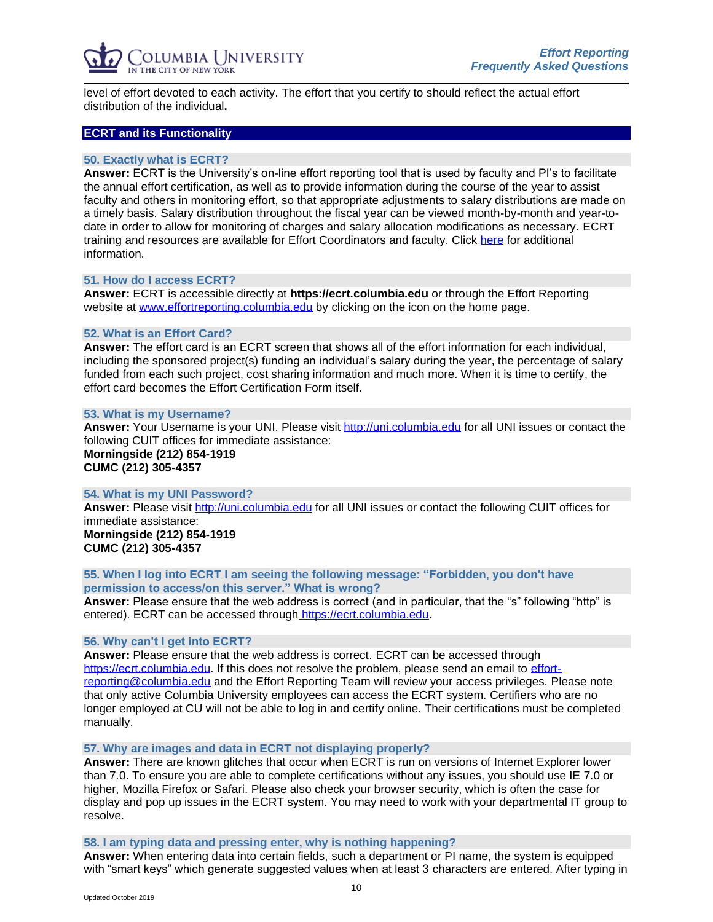

level of effort devoted to each activity. The effort that you certify to should reflect the actual effort distribution of the individual**.**

#### <span id="page-9-0"></span>**ECRT and its Functionality**

## **50. Exactly what is ECRT?**

**Answer:** ECRT is the University's on-line effort reporting tool that is used by faculty and PI's to facilitate the annual effort certification, as well as to provide information during the course of the year to assist faculty and others in monitoring effort, so that appropriate adjustments to salary distributions are made on a timely basis. Salary distribution throughout the fiscal year can be viewed month-by-month and year-todate in order to allow for monitoring of charges and salary allocation modifications as necessary. ECRT training and resources are available for Effort Coordinators and faculty. Click [here](http://www.effortreporting.columbia.edu/training.html) for additional information.

#### **51. How do I access ECRT?**

**Answer:** ECRT is accessible directly at **https://ecrt.columbia.edu** or through the Effort Reporting website at [www.effortreporting.columbia.edu](http://www.effortreporting.columbia.edu/) by clicking on the icon on the home page.

## **52. What is an Effort Card?**

**Answer:** The effort card is an ECRT screen that shows all of the effort information for each individual, including the sponsored project(s) funding an individual's salary during the year, the percentage of salary funded from each such project, cost sharing information and much more. When it is time to certify, the effort card becomes the Effort Certification Form itself.

#### **53. What is my Username?**

**Answer:** Your Username is your UNI. Please visit [http://uni.columbia.edu](http://uni.columbia.edu/) for all UNI issues or contact the following CUIT offices for immediate assistance:

**Morningside (212) 854-1919 CUMC (212) 305-4357**

#### **54. What is my UNI Password?**

**Answer:** Please visit [http://uni.columbia.edu](http://uni.columbia.edu/) for all UNI issues or contact the following CUIT offices for immediate assistance: **Morningside (212) 854-1919 CUMC (212) 305-4357**

**55. When I log into ECRT I am seeing the following message: "Forbidden, you don't have permission to access/on this server." What is wrong?**

**Answer:** Please ensure that the web address is correct (and in particular, that the "s" following "http" is entered). ECRT can be accessed through [https://ecrt.columbia.edu.](https://ecrt.columbia.edu/)

#### **56. Why can't I get into ECRT?**

**Answer:** Please ensure that the web address is correct. ECRT can be accessed through [https://ecrt.columbia.edu.](https://ecrt.columbia.edu/) If this does not resolve the problem, please send an email to [effort](mailto:effort-reporting@columbia.edu)[reporting@columbia.edu](mailto:effort-reporting@columbia.edu) and the Effort Reporting Team will review your access privileges. Please note that only active Columbia University employees can access the ECRT system. Certifiers who are no longer employed at CU will not be able to log in and certify online. Their certifications must be completed manually.

## **57. Why are images and data in ECRT not displaying properly?**

**Answer:** There are known glitches that occur when ECRT is run on versions of Internet Explorer lower than 7.0. To ensure you are able to complete certifications without any issues, you should use IE 7.0 or higher, Mozilla Firefox or Safari. Please also check your browser security, which is often the case for display and pop up issues in the ECRT system. You may need to work with your departmental IT group to resolve.

#### **58. I am typing data and pressing enter, why is nothing happening?**

**Answer:** When entering data into certain fields, such a department or PI name, the system is equipped with "smart keys" which generate suggested values when at least 3 characters are entered. After typing in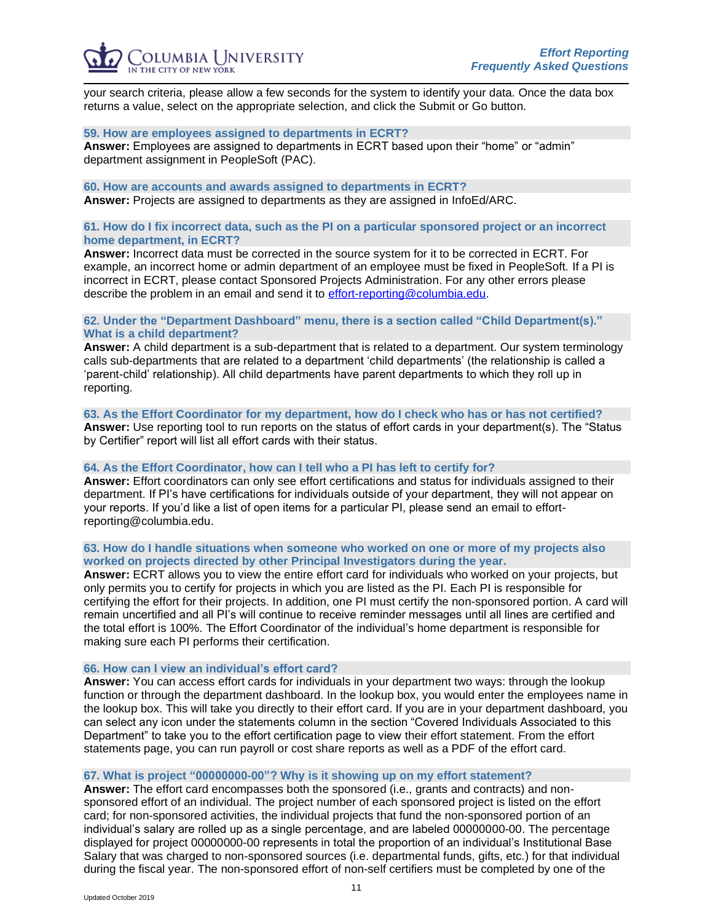

your search criteria, please allow a few seconds for the system to identify your data. Once the data box returns a value, select on the appropriate selection, and click the Submit or Go button.

#### **59. How are employees assigned to departments in ECRT?**

**Answer:** Employees are assigned to departments in ECRT based upon their "home" or "admin" department assignment in PeopleSoft (PAC).

**60. How are accounts and awards assigned to departments in ECRT? Answer:** Projects are assigned to departments as they are assigned in InfoEd/ARC.

## **61. How do I fix incorrect data, such as the PI on a particular sponsored project or an incorrect home department, in ECRT?**

**Answer:** Incorrect data must be corrected in the source system for it to be corrected in ECRT. For example, an incorrect home or admin department of an employee must be fixed in PeopleSoft. If a PI is incorrect in ECRT, please contact Sponsored Projects Administration. For any other errors please describe the problem in an email and send it to [effort-reporting@columbia.edu.](mailto:effort-reporting@columbia.edu)

## **62. Under the "Department Dashboard" menu, there is a section called "Child Department(s)." What is a child department?**

**Answer:** A child department is a sub-department that is related to a department. Our system terminology calls sub-departments that are related to a department 'child departments' (the relationship is called a 'parent-child' relationship). All child departments have parent departments to which they roll up in reporting.

**63. As the Effort Coordinator for my department, how do I check who has or has not certified? Answer:** Use reporting tool to run reports on the status of effort cards in your department(s). The "Status by Certifier" report will list all effort cards with their status.

## **64. As the Effort Coordinator, how can I tell who a PI has left to certify for?**

**Answer:** Effort coordinators can only see effort certifications and status for individuals assigned to their department. If PI's have certifications for individuals outside of your department, they will not appear on your reports. If you'd like a list of open items for a particular PI, please send an email to effortreporting@columbia.edu.

## **63. How do I handle situations when someone who worked on one or more of my projects also worked on projects directed by other Principal Investigators during the year.**

**Answer:** ECRT allows you to view the entire effort card for individuals who worked on your projects, but only permits you to certify for projects in which you are listed as the PI. Each PI is responsible for certifying the effort for their projects. In addition, one PI must certify the non-sponsored portion. A card will remain uncertified and all PI's will continue to receive reminder messages until all lines are certified and the total effort is 100%. The Effort Coordinator of the individual's home department is responsible for making sure each PI performs their certification.

#### **66. How can I view an individual's effort card?**

**Answer:** You can access effort cards for individuals in your department two ways: through the lookup function or through the department dashboard. In the lookup box, you would enter the employees name in the lookup box. This will take you directly to their effort card. If you are in your department dashboard, you can select any icon under the statements column in the section "Covered Individuals Associated to this Department" to take you to the effort certification page to view their effort statement. From the effort statements page, you can run payroll or cost share reports as well as a PDF of the effort card.

# **67. What is project "00000000-00"? Why is it showing up on my effort statement?**

**Answer:** The effort card encompasses both the sponsored (i.e., grants and contracts) and nonsponsored effort of an individual. The project number of each sponsored project is listed on the effort card; for non-sponsored activities, the individual projects that fund the non-sponsored portion of an individual's salary are rolled up as a single percentage, and are labeled 00000000-00. The percentage displayed for project 00000000-00 represents in total the proportion of an individual's Institutional Base Salary that was charged to non-sponsored sources (i.e. departmental funds, gifts, etc.) for that individual during the fiscal year. The non-sponsored effort of non-self certifiers must be completed by one of the